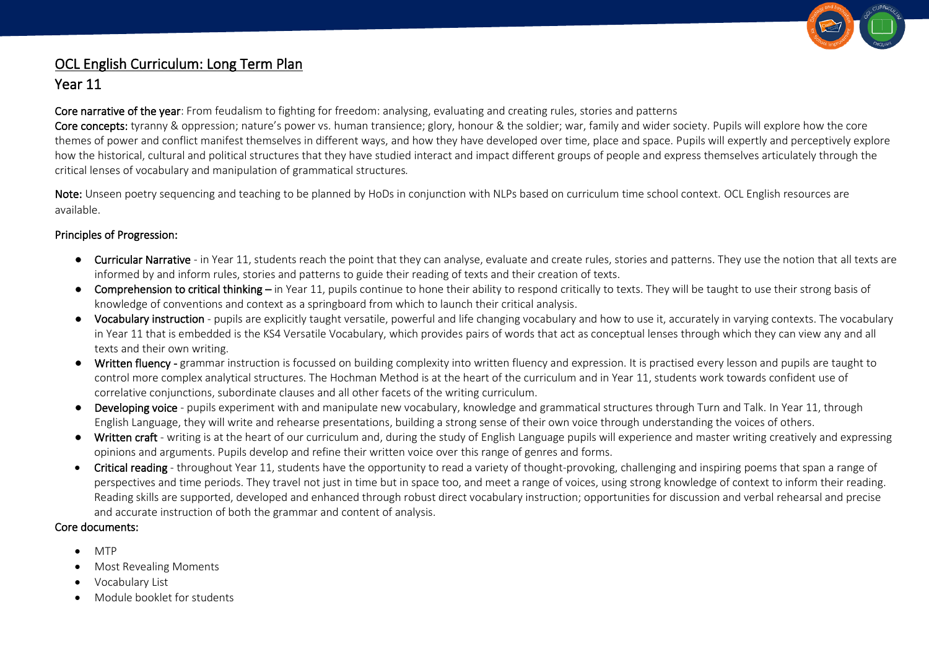

# OCL English Curriculum: Long Term Plan

## Year 11

Core narrative of the year: From feudalism to fighting for freedom: analysing, evaluating and creating rules, stories and patterns

Core concepts: tyranny & oppression; nature's power vs. human transience; glory, honour & the soldier; war, family and wider society. Pupils will explore how the core themes of power and conflict manifest themselves in different ways, and how they have developed over time, place and space. Pupils will expertly and perceptively explore how the historical, cultural and political structures that they have studied interact and impact different groups of people and express themselves articulately through the critical lenses of vocabulary and manipulation of grammatical structures*.*

Note: Unseen poetry sequencing and teaching to be planned by HoDs in conjunction with NLPs based on curriculum time school context. OCL English resources are available.

#### Principles of Progression:

- Curricular Narrative in Year 11, students reach the point that they can analyse, evaluate and create rules, stories and patterns. They use the notion that all texts are informed by and inform rules, stories and patterns to guide their reading of texts and their creation of texts.
- Comprehension to critical thinking in Year 11, pupils continue to hone their ability to respond critically to texts. They will be taught to use their strong basis of knowledge of conventions and context as a springboard from which to launch their critical analysis.
- Vocabulary instruction pupils are explicitly taught versatile, powerful and life changing vocabulary and how to use it, accurately in varying contexts. The vocabulary in Year 11 that is embedded is the KS4 Versatile Vocabulary, which provides pairs of words that act as conceptual lenses through which they can view any and all texts and their own writing.
- Written fluency grammar instruction is focussed on building complexity into written fluency and expression. It is practised every lesson and pupils are taught to control more complex analytical structures. The Hochman Method is at the heart of the curriculum and in Year 11, students work towards confident use of correlative conjunctions, subordinate clauses and all other facets of the writing curriculum.
- Developing voice pupils experiment with and manipulate new vocabulary, knowledge and grammatical structures through Turn and Talk. In Year 11, through English Language, they will write and rehearse presentations, building a strong sense of their own voice through understanding the voices of others.
- Written craft writing is at the heart of our curriculum and, during the study of English Language pupils will experience and master writing creatively and expressing opinions and arguments. Pupils develop and refine their written voice over this range of genres and forms.
- Critical reading throughout Year 11, students have the opportunity to read a variety of thought-provoking, challenging and inspiring poems that span a range of perspectives and time periods. They travel not just in time but in space too, and meet a range of voices, using strong knowledge of context to inform their reading. Reading skills are supported, developed and enhanced through robust direct vocabulary instruction; opportunities for discussion and verbal rehearsal and precise and accurate instruction of both the grammar and content of analysis.

#### Core documents:

- MTP
- Most Revealing Moments
- Vocabulary List
- Module booklet for students